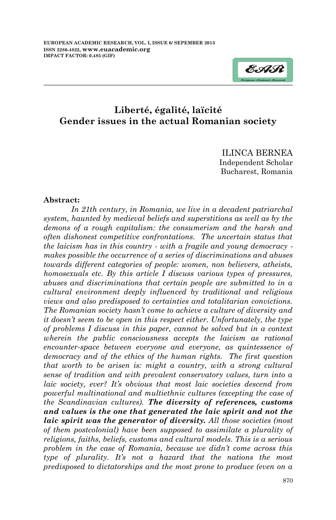

# **Liberté, égalité, laïcité Gender issues in the actual Romanian society**

ILINCA BERNEA Independent Scholar Bucharest, Romania

#### **Abstract:**

*In 21th century, in Romania, we live in a decadent patriarchal system, haunted by medieval beliefs and superstitions as well as by the demons of a rough capitalism: the consumerism and the harsh and often dishonest competitive confrontations. The uncertain status that the laicism has in this country - with a fragile and young democracy makes possible the occurrence of a series of discriminations and abuses towards different categories of people: women, non believers, atheists, homosexuals etc. By this article I discuss various types of pressures, abuses and discriminations that certain people are submitted to in a cultural environment deeply influenced by traditional and religious views and also predisposed to certainties and totalitarian convictions. The Romanian society hasn't come to achieve a culture of diversity and it doesn't seem to be open in this respect either. Unfortunately, the type of problems I discuss in this paper, cannot be solved but in a context wherein the public consciousness accepts the laicism as rational encounter-space between everyone and everyone, as quintessence of democracy and of the ethics of the human rights. The first question that worth to be arisen is: might a country, with a strong cultural sense of tradition and with prevalent conservatory values, turn into a laic society, ever? It's obvious that most laic societies descend from powerful multinational and multiethnic cultures (excepting the case of the Scandinavian cultures). The diversity of references, customs and values is the one that generated the laic spirit and not the laic spirit was the generator of diversity. All those societies (most of them postcolonial) have been supposed to assimilate a plurality of religions, faiths, beliefs, customs and cultural models. This is a serious problem in the case of Romania, because we didn't come across this type of plurality. It's not a hazard that the nations the most predisposed to dictatorships and the most prone to produce (even on a*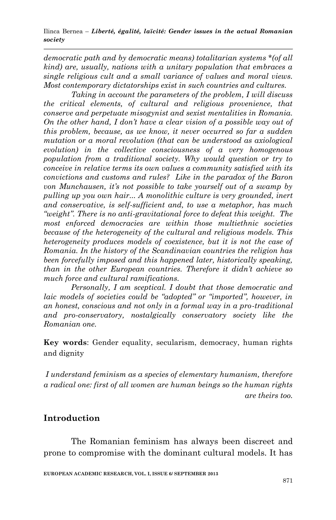*democratic path and by democratic means) totalitarian systems \*(of all kind) are, usually, nations with a unitary population that embraces a single religious cult and a small variance of values and moral views. Most contemporary dictatorships exist in such countries and cultures.* 

*Taking in account the parameters of the problem, I will discuss the critical elements, of cultural and religious provenience, that conserve and perpetuate misogynist and sexist mentalities in Romania. On the other hand, I don't have a clear vision of a possible way out of this problem, because, as we know, it never occurred so far a sudden mutation or a moral revolution (that can be understood as axiological evolution) in the collective consciousness of a very homogenous population from a traditional society. Why would question or try to conceive in relative terms its own values a community satisfied with its convictions and customs and rules? Like in the paradox of the Baron von Munchausen, it's not possible to take yourself out of a swamp by pulling up you own hair... A monolithic culture is very grounded, inert and conservative, is self-sufficient and, to use a metaphor, has much "weight". There is no anti-gravitational force to defeat this weight. The most enforced democracies are within those multiethnic societies because of the heterogeneity of the cultural and religious models. This heterogeneity produces models of coexistence, but it is not the case of Romania. In the history of the Scandinavian countries the religion has been forcefully imposed and this happened later, historically speaking, than in the other European countries. Therefore it didn't achieve so much force and cultural ramifications.*

*Personally, I am sceptical. I doubt that those democratic and laic models of societies could be "adopted" or "imported", however, in an honest, conscious and not only in a formal way in a pro-traditional and pro-conservatory, nostalgically conservatory society like the Romanian one.* 

**Key words**: Gender equality, secularism, democracy, human rights and dignity

*I understand feminism as a species of elementary humanism, therefore a radical one: first of all women are human beings so the human rights are theirs too.* 

# **Introduction**

The Romanian feminism has always been discreet and prone to compromise with the dominant cultural models. It has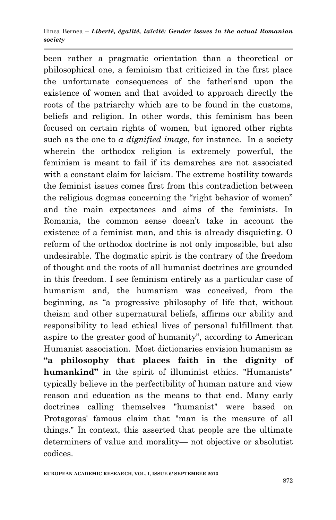been rather a pragmatic orientation than a theoretical or philosophical one, a feminism that criticized in the first place the unfortunate consequences of the fatherland upon the existence of women and that avoided to approach directly the roots of the patriarchy which are to be found in the customs, beliefs and religion. In other words, this feminism has been focused on certain rights of women, but ignored other rights such as the one to *a dignified image*, for instance. In a society wherein the orthodox religion is extremely powerful, the feminism is meant to fail if its demarches are not associated with a constant claim for laicism. The extreme hostility towards the feminist issues comes first from this contradiction between the religious dogmas concerning the "right behavior of women" and the main expectances and aims of the feminists. In Romania, the common sense doesn't take in account the existence of a feminist man, and this is already disquieting. O reform of the orthodox doctrine is not only impossible, but also undesirable. The dogmatic spirit is the contrary of the freedom of thought and the roots of all humanist doctrines are grounded in this freedom. I see feminism entirely as a particular case of humanism and, the humanism was conceived, from the beginning, as "a progressive philosophy of life that, without theism and other supernatural beliefs, affirms our ability and responsibility to lead ethical lives of personal fulfillment that aspire to the greater good of humanity", according to American Humanist association. Most dictionaries envision humanism as **"a philosophy that places faith in the dignity of humankind"** in the spirit of illuminist ethics. "Humanists" typically believe in the perfectibility of human nature and view reason and education as the means to that end. Many early doctrines calling themselves "humanist" were based on Protagoras' famous claim that "man is the measure of all things." In context, this asserted that people are the ultimate determiners of value and morality— not objective or absolutist codices.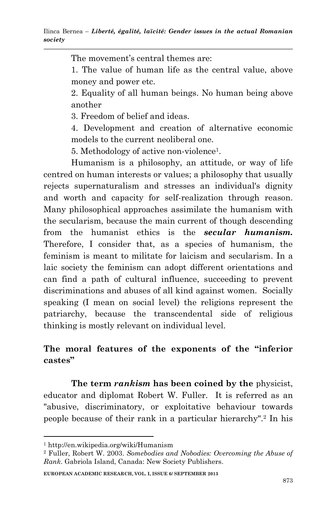The movement's central themes are:

1. The value of human life as the central value, above money and power etc.

2. Equality of all human beings. No human being above another

3. Freedom of belief and ideas.

4. Development and creation of alternative economic models to the current neoliberal one.

5. Methodology of active non-violence<sup>1</sup> .

Humanism is a philosophy, an attitude, or way of life centred on human interests or values; a philosophy that usually rejects supernaturalism and stresses an individual's dignity and worth and capacity for self-realization through reason. Many philosophical approaches assimilate the humanism with the secularism, because the main current of though descending from the humanist ethics is the *secular humanism.* Therefore, I consider that, as a species of humanism, the feminism is meant to militate for laicism and secularism. In a laic society the feminism can adopt different orientations and can find a path of cultural influence, succeeding to prevent discriminations and abuses of all kind against women. Socially speaking (I mean on social level) the religions represent the patriarchy, because the transcendental side of religious thinking is mostly relevant on individual level.

# **The moral features of the exponents of the "inferior castes"**

**The term** *rankism* **has been coined by the** physicist, educator and diplomat Robert W. Fuller. It is referred as an "abusive, discriminatory, or exploitative behaviour towards people because of their rank in a particular hierarchy".<sup>2</sup> In his

1

**EUROPEAN ACADEMIC RESEARCH, VOL. I, ISSUE 6/ SEPTEMBER 2013**

<sup>1</sup> http://en.wikipedia.org/wiki/Humanism

<sup>2</sup> Fuller, Robert W. 2003. *Somebodies and Nobodies: Overcoming the Abuse of Rank*. Gabriola Island, Canada: New Society Publishers.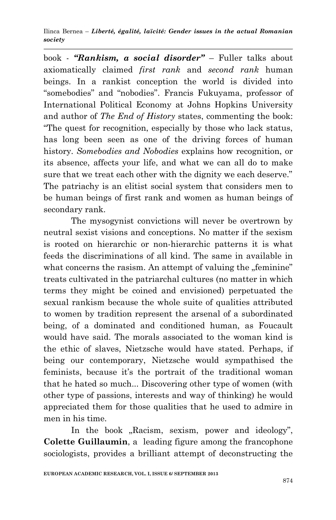book - *"Rankism, a social disorder"* – Fuller talks about axiomatically claimed *first rank* and *second rank* human beings. In a rankist conception the world is divided into ―somebodies‖ and ―nobodies‖. Francis Fukuyama, professor of International Political Economy at Johns Hopkins University and author of *The End of History* states, commenting the book: ―The quest for recognition, especially by those who lack status, has long been seen as one of the driving forces of human history. *Somebodies and Nobodies* explains how recognition, or its absence, affects your life, and what we can all do to make sure that we treat each other with the dignity we each deserve." The patriachy is an elitist social system that considers men to be human beings of first rank and women as human beings of secondary rank.

The mysogynist convictions will never be overtrown by neutral sexist visions and conceptions. No matter if the sexism is rooted on hierarchic or non-hierarchic patterns it is what feeds the discriminations of all kind. The same in available in what concerns the rasism. An attempt of valuing the "feminine" treats cultivated in the patriarchal cultures (no matter in which terms they might be coined and envisioned) perpetuated the sexual rankism because the whole suite of qualities attributed to women by tradition represent the arsenal of a subordinated being, of a dominated and conditioned human, as Foucault would have said. The morals associated to the woman kind is the ethic of slaves, Nietzsche would have stated. Perhaps, if being our contemporary, Nietzsche would sympathised the feminists, because it's the portrait of the traditional woman that he hated so much... Discovering other type of women (with other type of passions, interests and way of thinking) he would appreciated them for those qualities that he used to admire in men in his time.

In the book "Racism, sexism, power and ideology", **Colette Guillaumin**, a leading figure among the francophone sociologists, provides a brilliant attempt of deconstructing the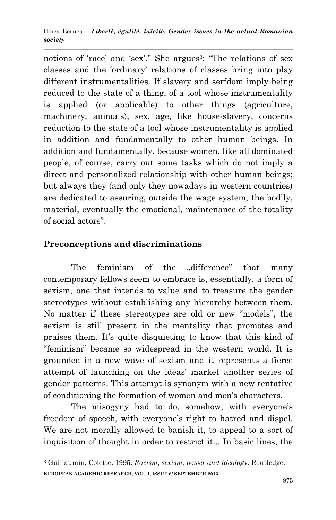notions of 'race' and 'sex'." She argues<sup>3</sup>: "The relations of sex classes and the 'ordinary' relations of classes bring into play different instrumentalities. If slavery and serfdom imply being reduced to the state of a thing, of a tool whose instrumentality is applied (or applicable) to other things (agriculture, machinery, animals), sex, age, like house-slavery, concerns reduction to the state of a tool whose instrumentality is applied in addition and fundamentally to other human beings. In addition and fundamentally, because women, like all dominated people, of course, carry out some tasks which do not imply a direct and personalized relationship with other human beings; but always they (and only they nowadays in western countries) are dedicated to assuring, outside the wage system, the bodily, material, eventually the emotional, maintenance of the totality of social actors".

# **Preconceptions and discriminations**

1

The feminism of the "difference" that many contemporary fellows seem to embrace is, essentially, a form of sexism, one that intends to value and to treasure the gender stereotypes without establishing any hierarchy between them. No matter if these stereotypes are old or new "models", the sexism is still present in the mentality that promotes and praises them. It's quite disquieting to know that this kind of ―feminism‖ became so widespread in the western world. It is grounded in a new wave of sexism and it represents a fierce attempt of launching on the ideas' market another series of gender patterns. This attempt is synonym with a new tentative of conditioning the formation of women and men's characters.

The misogyny had to do, somehow, with everyone's freedom of speech, with everyone's right to hatred and dispel. We are not morally allowed to banish it, to appeal to a sort of inquisition of thought in order to restrict it... In basic lines, the

**EUROPEAN ACADEMIC RESEARCH, VOL. I, ISSUE 6/ SEPTEMBER 2013** <sup>3</sup> Guillaumin, Colette. 1995. *Racism, sexism, power and ideology.* Routledge.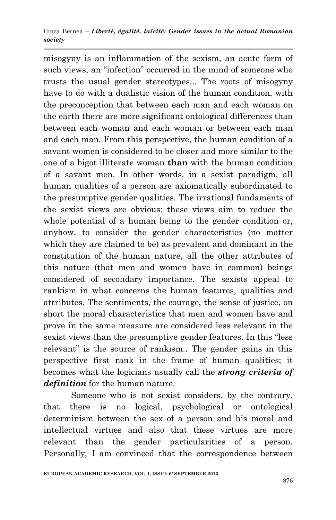misogyny is an inflammation of the sexism, an acute form of such views, an "infection" occurred in the mind of someone who trusts the usual gender stereotypes... The roots of misogyny have to do with a dualistic vision of the human condition, with the preconception that between each man and each woman on the earth there are more significant ontological differences than between each woman and each woman or between each man and each man. From this perspective, the human condition of a savant women is considered to be closer and more similar to the one of a bigot illiterate woman **than** with the human condition of a savant men. In other words, in a sexist paradigm, all human qualities of a person are axiomatically subordinated to the presumptive gender qualities. The irrational fundaments of the sexist views are obvious: these views aim to reduce the whole potential of a human being to the gender condition or, anyhow, to consider the gender characteristics (no matter which they are claimed to be) as prevalent and dominant in the constitution of the human nature, all the other attributes of this nature (that men and women have in common) beings considered of secondary importance. The sexists appeal to rankism in what concerns the human features, qualities and attributes. The sentiments, the courage, the sense of justice, on short the moral characteristics that men and women have and prove in the same measure are considered less relevant in the sexist views than the presumptive gender features. In this "less" relevant" is the source of rankism.. The gender gains in this perspective first rank in the frame of human qualities; it becomes what the logicians usually call the *strong criteria of definition* for the human nature.

Someone who is not sexist considers, by the contrary, that there is no logical, psychological or ontological determinism between the sex of a person and his moral and intellectual virtues and also that these virtues are more relevant than the gender particularities of a person. Personally, I am convinced that the correspondence between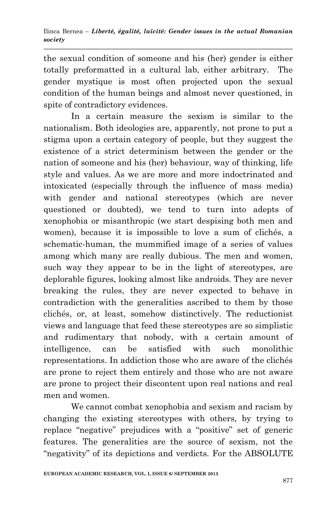the sexual condition of someone and his (her) gender is either totally preformatted in a cultural lab, either arbitrary. The gender mystique is most often projected upon the sexual condition of the human beings and almost never questioned, in spite of contradictory evidences.

In a certain measure the sexism is similar to the nationalism. Both ideologies are, apparently, not prone to put a stigma upon a certain category of people, but they suggest the existence of a strict determinism between the gender or the nation of someone and his (her) behaviour, way of thinking, life style and values. As we are more and more indoctrinated and intoxicated (especially through the influence of mass media) with gender and national stereotypes (which are never questioned or doubted), we tend to turn into adepts of xenophobia or misanthropic (we start despising both men and women), because it is impossible to love a sum of clichés, a schematic-human, the mummified image of a series of values among which many are really dubious. The men and women, such way they appear to be in the light of stereotypes, are deplorable figures, looking almost like androids. They are never breaking the rules, they are never expected to behave in contradiction with the generalities ascribed to them by those clichés, or, at least, somehow distinctively. The reductionist views and language that feed these stereotypes are so simplistic and rudimentary that nobody, with a certain amount of intelligence, can be satisfied with such monolithic representations. In addiction those who are aware of the clichés are prone to reject them entirely and those who are not aware are prone to project their discontent upon real nations and real men and women.

We cannot combat xenophobia and sexism and racism by changing the existing stereotypes with others, by trying to replace "negative" prejudices with a "positive" set of generic features. The generalities are the source of sexism, not the "negativity" of its depictions and verdicts. For the ABSOLUTE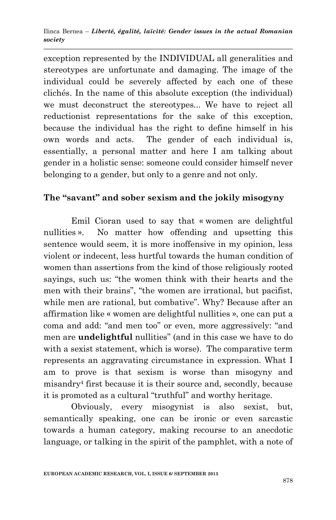exception represented by the INDIVIDUAL all generalities and stereotypes are unfortunate and damaging. The image of the individual could be severely affected by each one of these clichés. In the name of this absolute exception (the individual) we must deconstruct the stereotypes... We have to reject all reductionist representations for the sake of this exception, because the individual has the right to define himself in his own words and acts. The gender of each individual is, essentially, a personal matter and here I am talking about gender in a holistic sense: someone could consider himself never belonging to a gender, but only to a genre and not only.

### **The "savant" and sober sexism and the jokily misogyny**

Emil Cioran used to say that « women are delightful nullities ». No matter how offending and upsetting this sentence would seem, it is more inoffensive in my opinion, less violent or indecent, less hurtful towards the human condition of women than assertions from the kind of those religiously rooted sayings, such us: "the women think with their hearts and the men with their brains", "the women are irrational, but pacifist, while men are rational, but combative". Why? Because after an affirmation like « women are delightful nullities », one can put a coma and add: "and men too" or even, more aggressively: "and men are **undelightful** nullities" (and in this case we have to do with a sexist statement, which is worse). The comparative term represents an aggravating circumstance in expression. What I am to prove is that sexism is worse than misogyny and misandry<sup>4</sup> first because it is their source and, secondly, because it is promoted as a cultural "truthful" and worthy heritage.

Obviously, every misogynist is also sexist, but, semantically speaking, one can be ironic or even sarcastic towards a human category, making recourse to an anecdotic language, or talking in the spirit of the pamphlet, with a note of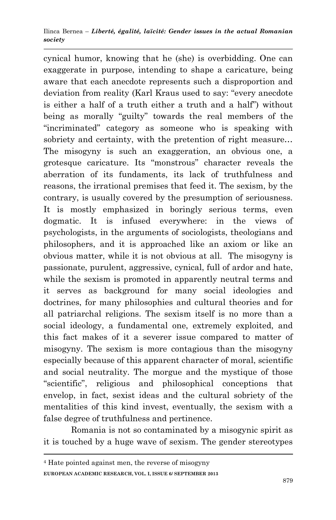cynical humor, knowing that he (she) is overbidding. One can exaggerate in purpose, intending to shape a caricature, being aware that each anecdote represents such a disproportion and deviation from reality (Karl Kraus used to say: "every anecdote is either a half of a truth either a truth and a half" without being as morally "guilty" towards the real members of the ―incriminated‖ category as someone who is speaking with sobriety and certainty, with the pretention of right measure... The misogyny is such an exaggeration, an obvious one, a grotesque caricature. Its "monstrous" character reveals the aberration of its fundaments, its lack of truthfulness and reasons, the irrational premises that feed it. The sexism, by the contrary, is usually covered by the presumption of seriousness. It is mostly emphasized in boringly serious terms, even dogmatic. It is infused everywhere: in the views of psychologists, in the arguments of sociologists, theologians and philosophers, and it is approached like an axiom or like an obvious matter, while it is not obvious at all. The misogyny is passionate, purulent, aggressive, cynical, full of ardor and hate, while the sexism is promoted in apparently neutral terms and it serves as background for many social ideologies and doctrines, for many philosophies and cultural theories and for all patriarchal religions. The sexism itself is no more than a social ideology, a fundamental one, extremely exploited, and this fact makes of it a severer issue compared to matter of misogyny. The sexism is more contagious than the misogyny especially because of this apparent character of moral, scientific and social neutrality. The morgue and the mystique of those ―scientific‖, religious and philosophical conceptions that envelop, in fact, sexist ideas and the cultural sobriety of the mentalities of this kind invest, eventually, the sexism with a false degree of truthfulness and pertinence.

Romania is not so contaminated by a misogynic spirit as it is touched by a huge wave of sexism. The gender stereotypes

**EUROPEAN ACADEMIC RESEARCH, VOL. I, ISSUE 6/ SEPTEMBER 2013** <sup>4</sup> Hate pointed against men, the reverse of misogyny

1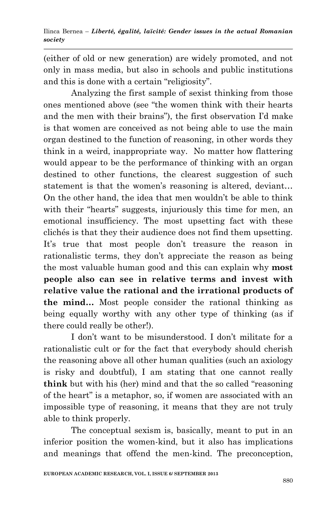(either of old or new generation) are widely promoted, and not only in mass media, but also in schools and public institutions and this is done with a certain "religiosity".

Analyzing the first sample of sexist thinking from those ones mentioned above (see "the women think with their hearts and the men with their brains"), the first observation I'd make is that women are conceived as not being able to use the main organ destined to the function of reasoning, in other words they think in a weird, inappropriate way. No matter how flattering would appear to be the performance of thinking with an organ destined to other functions, the clearest suggestion of such statement is that the women's reasoning is altered, deviant… On the other hand, the idea that men wouldn't be able to think with their "hearts" suggests, injuriously this time for men, an emotional insufficiency. The most upsetting fact with these clichés is that they their audience does not find them upsetting. It's true that most people don't treasure the reason in rationalistic terms, they don't appreciate the reason as being the most valuable human good and this can explain why **most people also can see in relative terms and invest with relative value the rational and the irrational products of the mind…** Most people consider the rational thinking as being equally worthy with any other type of thinking (as if there could really be other!).

I don't want to be misunderstood. I don't militate for a rationalistic cult or for the fact that everybody should cherish the reasoning above all other human qualities (such an axiology is risky and doubtful), I am stating that one cannot really **think** but with his (her) mind and that the so called "reasoning" of the heart" is a metaphor, so, if women are associated with an impossible type of reasoning, it means that they are not truly able to think properly.

The conceptual sexism is, basically, meant to put in an inferior position the women-kind, but it also has implications and meanings that offend the men-kind. The preconception,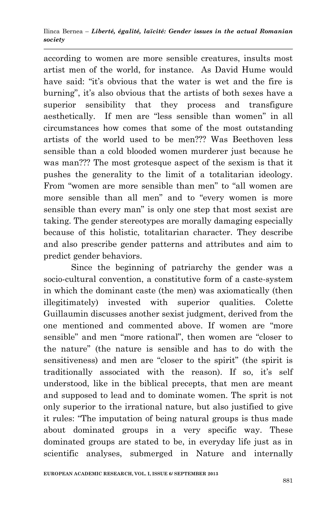according to women are more sensible creatures, insults most artist men of the world, for instance. As David Hume would have said: "it's obvious that the water is wet and the fire is burning", it's also obvious that the artists of both sexes have a superior sensibility that they process and transfigure aesthetically. If men are "less sensible than women" in all circumstances how comes that some of the most outstanding artists of the world used to be men??? Was Beethoven less sensible than a cold blooded women murderer just because he was man??? The most grotesque aspect of the sexism is that it pushes the generality to the limit of a totalitarian ideology. From "women are more sensible than men" to "all women are more sensible than all men" and to "every women is more sensible than every man" is only one step that most sexist are taking. The gender stereotypes are morally damaging especially because of this holistic, totalitarian character. They describe and also prescribe gender patterns and attributes and aim to predict gender behaviors.

Since the beginning of patriarchy the gender was a socio-cultural convention, a constitutive form of a caste-system in which the dominant caste (the men) was axiomatically (then illegitimately) invested with superior qualities. Colette Guillaumin discusses another sexist judgment, derived from the one mentioned and commented above. If women are "more sensible" and men "more rational", then women are "closer to the nature‖ (the nature is sensible and has to do with the sensitiveness) and men are "closer to the spirit" (the spirit is traditionally associated with the reason). If so, it's self understood, like in the biblical precepts, that men are meant and supposed to lead and to dominate women. The sprit is not only superior to the irrational nature, but also justified to give it rules: "The imputation of being natural groups is thus made about dominated groups in a very specific way. These dominated groups are stated to be, in everyday life just as in scientific analyses, submerged in Nature and internally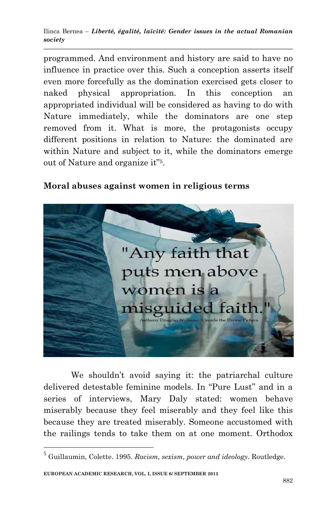programmed. And environment and history are said to have no influence in practice over this. Such a conception asserts itself even more forcefully as the domination exercised gets closer to naked physical appropriation. In this conception an appropriated individual will be considered as having to do with Nature immediately, while the dominators are one step removed from it. What is more, the protagonists occupy different positions in relation to Nature: the dominated are within Nature and subject to it, while the dominators emerge out of Nature and organize it"<sup>5</sup>.

### **Moral abuses against women in religious terms**



We shouldn't avoid saying it: the patriarchal culture delivered detestable feminine models. In "Pure Lust" and in a series of interviews, Mary Daly stated: women behave miserably because they feel miserably and they feel like this because they are treated miserably. Someone accustomed with the railings tends to take them on at one moment. Orthodox

**.** 

<sup>5</sup> Guillaumin, Colette. 1995. *Racism, sexism, power and ideology.* Routledge.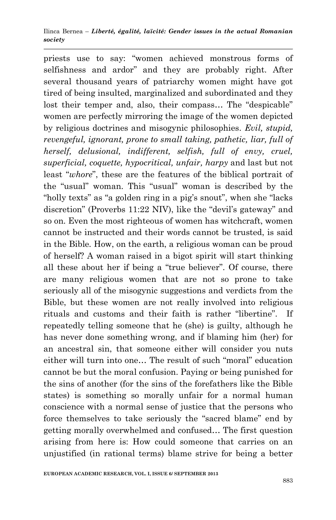priests use to say: "women achieved monstrous forms of selfishness and ardor" and they are probably right. After several thousand years of patriarchy women might have got tired of being insulted, marginalized and subordinated and they lost their temper and, also, their compass... The "despicable" women are perfectly mirroring the image of the women depicted by religious doctrines and misogynic philosophies. *Evil, stupid, revengeful, ignorant, prone to small taking, pathetic, liar, full of herself, delusional, indifferent, selfish, full of envy, cruel, superficial, coquette, hypocritical, unfair, harpy* and last but not least "*whore*", these are the features of the biblical portrait of the "usual" woman. This "usual" woman is described by the "holly texts" as "a golden ring in a pig's snout", when she "lacks" discretion" (Proverbs  $11:22$  NIV), like the "devil's gateway" and so on. Even the most righteous of women has witchcraft, women cannot be instructed and their words cannot be trusted, is said in the Bible*.* How, on the earth, a religious woman can be proud of herself? A woman raised in a bigot spirit will start thinking all these about her if being a "true believer". Of course, there are many religious women that are not so prone to take seriously all of the misogynic suggestions and verdicts from the Bible, but these women are not really involved into religious rituals and customs and their faith is rather "libertine". If repeatedly telling someone that he (she) is guilty, although he has never done something wrong, and if blaming him (her) for an ancestral sin, that someone either will consider you nuts either will turn into one... The result of such "moral" education cannot be but the moral confusion. Paying or being punished for the sins of another (for the sins of the forefathers like the Bible states) is something so morally unfair for a normal human conscience with a normal sense of justice that the persons who force themselves to take seriously the "sacred blame" end by getting morally overwhelmed and confused… The first question arising from here is: How could someone that carries on an unjustified (in rational terms) blame strive for being a better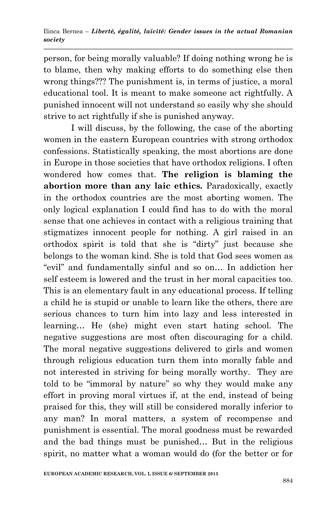person, for being morally valuable? If doing nothing wrong he is to blame, then why making efforts to do something else then wrong things??? The punishment is, in terms of justice, a moral educational tool. It is meant to make someone act rightfully. A punished innocent will not understand so easily why she should strive to act rightfully if she is punished anyway.

I will discuss, by the following, the case of the aborting women in the eastern European countries with strong orthodox confessions. Statistically speaking, the most abortions are done in Europe in those societies that have orthodox religions. I often wondered how comes that. **The religion is blaming the abortion more than any laic ethics.** Paradoxically, exactly in the orthodox countries are the most aborting women. The only logical explanation I could find has to do with the moral sense that one achieves in contact with a religious training that stigmatizes innocent people for nothing. A girl raised in an orthodox spirit is told that she is "dirty" just because she belongs to the woman kind. She is told that God sees women as "evil" and fundamentally sinful and so on... In addiction her self esteem is lowered and the trust in her moral capacities too. This is an elementary fault in any educational process. If telling a child he is stupid or unable to learn like the others, there are serious chances to turn him into lazy and less interested in learning… He (she) might even start hating school. The negative suggestions are most often discouraging for a child. The moral negative suggestions delivered to girls and women through religious education turn them into morally fable and not interested in striving for being morally worthy. They are told to be "immoral by nature" so why they would make any effort in proving moral virtues if, at the end, instead of being praised for this, they will still be considered morally inferior to any man? In moral matters, a system of recompense and punishment is essential. The moral goodness must be rewarded and the bad things must be punished… But in the religious spirit, no matter what a woman would do (for the better or for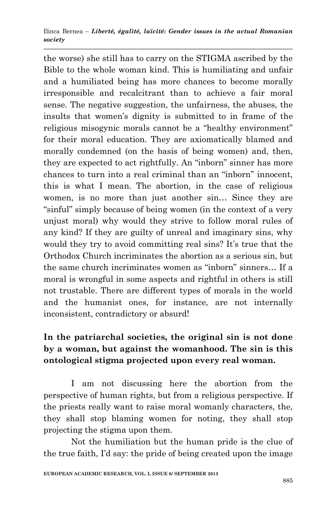the worse) she still has to carry on the STIGMA ascribed by the Bible to the whole woman kind. This is humiliating and unfair and a humiliated being has more chances to become morally irresponsible and recalcitrant than to achieve a fair moral sense. The negative suggestion, the unfairness, the abuses, the insults that women's dignity is submitted to in frame of the religious misogynic morals cannot be a "healthy environment" for their moral education. They are axiomatically blamed and morally condemned (on the basis of being women) and, then, they are expected to act rightfully. An "inborn" sinner has more chances to turn into a real criminal than an "inborn" innocent, this is what I mean. The abortion, in the case of religious women, is no more than just another sin... Since they are "sinful" simply because of being women (in the context of a very unjust moral) why would they strive to follow moral rules of any kind? If they are guilty of unreal and imaginary sins, why would they try to avoid committing real sins? It's true that the Orthodox Church incriminates the abortion as a serious sin, but the same church incriminates women as "inborn" sinners... If a moral is wrongful in some aspects and rightful in others is still not trustable. There are different types of morals in the world and the humanist ones, for instance, are not internally inconsistent, contradictory or absurd!

# **In the patriarchal societies, the original sin is not done by a woman, but against the womanhood. The sin is this ontological stigma projected upon every real woman.**

I am not discussing here the abortion from the perspective of human rights, but from a religious perspective. If the priests really want to raise moral womanly characters, the, they shall stop blaming women for noting, they shall stop projecting the stigma upon them.

Not the humiliation but the human pride is the clue of the true faith, I'd say: the pride of being created upon the image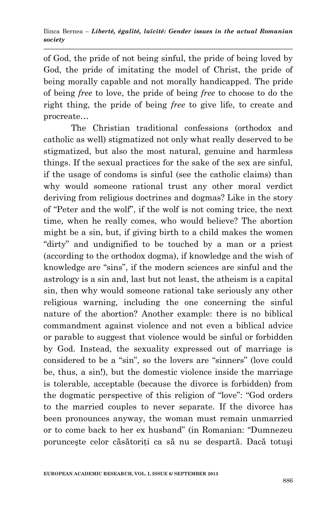of God, the pride of not being sinful, the pride of being loved by God, the pride of imitating the model of Christ, the pride of being morally capable and not morally handicapped. The pride of being *free* to love, the pride of being *free* to choose to do the right thing, the pride of being *free* to give life, to create and procreate…

The Christian traditional confessions (orthodox and catholic as well) stigmatized not only what really deserved to be stigmatized, but also the most natural, genuine and harmless things. If the sexual practices for the sake of the sex are sinful, if the usage of condoms is sinful (see the catholic claims) than why would someone rational trust any other moral verdict deriving from religious doctrines and dogmas? Like in the story of "Peter and the wolf", if the wolf is not coming trice, the next time, when he really comes, who would believe? The abortion might be a sin, but, if giving birth to a child makes the women "dirty" and undignified to be touched by a man or a priest (according to the orthodox dogma), if knowledge and the wish of knowledge are "sins", if the modern sciences are sinful and the astrology is a sin and, last but not least, the atheism is a capital sin, then why would someone rational take seriously any other religious warning, including the one concerning the sinful nature of the abortion? Another example: there is no biblical commandment against violence and not even a biblical advice or parable to suggest that violence would be sinful or forbidden by God. Instead, the sexuality expressed out of marriage is considered to be a "sin", so the lovers are "sinners" (love could be, thus, a sin!), but the domestic violence inside the marriage is tolerable, acceptable (because the divorce is forbidden) from the dogmatic perspective of this religion of "love": "God orders" to the married couples to never separate. If the divorce has been pronounces anyway, the woman must remain unmarried or to come back to her ex husband" (in Romanian: "Dumnezeu porunceste celor căsătoriti ca să nu se despartă. Dacă totuși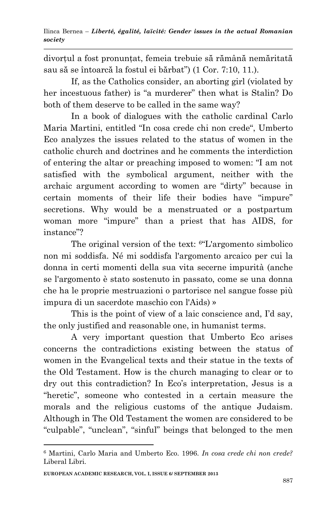divorţul a fost pronunţat, femeia trebuie să rămână nemăritată sau să se întoarcă la fostul ei bărbat") (1 Cor. 7:10, 11.).

If, as the Catholics consider, an aborting girl (violated by her incestuous father) is "a murderer" then what is Stalin? Do both of them deserve to be called in the same way?

In a book of dialogues with the catholic cardinal Carlo Maria Martini, entitled "In cosa crede chi non crede", Umberto Eco analyzes the issues related to the status of women in the catholic church and doctrines and he comments the interdiction of entering the altar or preaching imposed to women: "I am not satisfied with the symbolical argument, neither with the archaic argument according to women are "dirty" because in certain moments of their life their bodies have "impure" secretions. Why would be a menstruated or a postpartum woman more "impure" than a priest that has AIDS, for instance"?

The original version of the text: <sup>6</sup> L'argomento simbolico non mi soddisfa. Né mi soddisfa l'argomento arcaico per cui la donna in certi momenti della sua vita secerne impurità (anche se l'argomento è stato sostenuto in passato, come se una donna che ha le proprie mestruazioni o partorisce nel sangue fosse più impura di un sacerdote maschio con l'Aids) »

This is the point of view of a laic conscience and, I'd say, the only justified and reasonable one, in humanist terms.

A very important question that Umberto Eco arises concerns the contradictions existing between the status of women in the Evangelical texts and their statue in the texts of the Old Testament. How is the church managing to clear or to dry out this contradiction? In Eco's interpretation, Jesus is a "heretic", someone who contested in a certain measure the morals and the religious customs of the antique Judaism. Although in The Old Testament the women are considered to be "culpable", "unclean", "sinful" beings that belonged to the men

1

<sup>6</sup> Martini, Carlo Maria and Umberto Eco. 1996. *In cosa crede chi non crede?* Liberal Libri.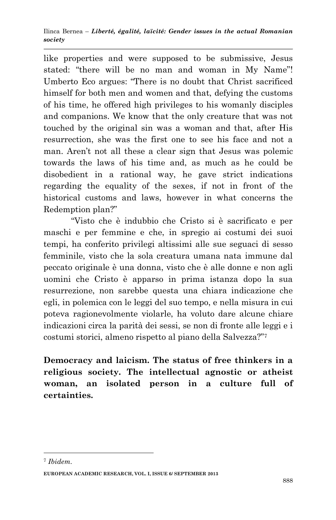like properties and were supposed to be submissive, Jesus stated: "there will be no man and woman in My Name"! Umberto Eco argues: "There is no doubt that Christ sacrificed himself for both men and women and that, defying the customs of his time, he offered high privileges to his womanly disciples and companions. We know that the only creature that was not touched by the original sin was a woman and that, after His resurrection, she was the first one to see his face and not a man. Aren't not all these a clear sign that Jesus was polemic towards the laws of his time and, as much as he could be disobedient in a rational way, he gave strict indications regarding the equality of the sexes, if not in front of the historical customs and laws, however in what concerns the Redemption plan?"

―Visto che è indubbio che Cristo si è sacrificato e per maschi e per femmine e che, in spregio ai costumi dei suoi tempi, ha conferito privilegi altissimi alle sue seguaci di sesso femminile, visto che la sola creatura umana nata immune dal peccato originale è una donna, visto che è alle donne e non agli uomini che Cristo è apparso in prima istanza dopo la sua resurrezione, non sarebbe questa una chiara indicazione che egli, in polemica con le leggi del suo tempo, e nella misura in cui poteva ragionevolmente violarle, ha voluto dare alcune chiare indicazioni circa la parità dei sessi, se non di fronte alle leggi e i costumi storici, almeno rispetto al piano della Salvezza?"7

**Democracy and laicism. The status of free thinkers in a religious society. The intellectual agnostic or atheist woman, an isolated person in a culture full of certainties.** 

**.** 

<sup>7</sup> *Ibidem.*

**EUROPEAN ACADEMIC RESEARCH, VOL. I, ISSUE 6/ SEPTEMBER 2013**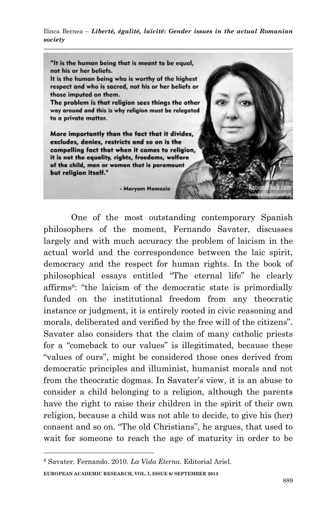"It is the human being that is meant to be equal, not his or her beliefs.

It is the human being who is worthy of the highest respect and who is sacred, not his or her beliefs or those imputed on them.

The problem is that religion sees things the other way around and this is why religion must be relegated to a private matter.

More importantly than the fact that it divides, excludes, denies, restricts and so on is the compelling fact that when it comes to religion, it is not the equality, rights, freedoms, welfare of the child, man or woman that is paramount but religion itself."

- Maryam Namazie

One of the most outstanding contemporary Spanish philosophers of the moment, Fernando Savater, discusses largely and with much accuracy the problem of laicism in the actual world and the correspondence between the laic spirit, democracy and the respect for human rights. In the book of philosophical essays entitled "The eternal life" he clearly affirms<sup>8</sup>: "the laicism of the democratic state is primordially funded on the institutional freedom from any theocratic instance or judgment, it is entirely rooted in civic reasoning and morals, deliberated and verified by the free will of the citizens". Savater also considers that the claim of many catholic priests for a "comeback to our values" is illegitimated, because these "values of ours", might be considered those ones derived from democratic principles and illuminist, humanist morals and not from the theocratic dogmas. In Savater's view, it is an abuse to consider a child belonging to a religion, although the parents have the right to raise their children in the spirit of their own religion, because a child was not able to decide, to give his (her) consent and so on. "The old Christians", he argues, that used to wait for someone to reach the age of maturity in order to be

**.** 

**EUROPEAN ACADEMIC RESEARCH, VOL. I, ISSUE 6/ SEPTEMBER 2013** <sup>8</sup> Savater. Fernando. 2010. *La Vida Eterna.* Editorial Ariel.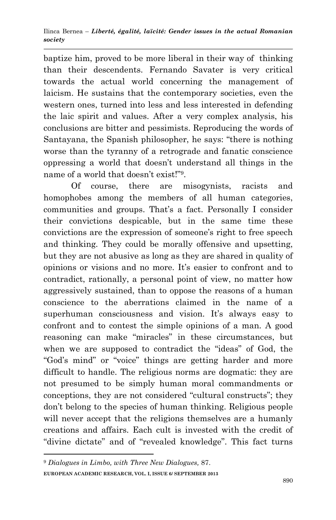baptize him, proved to be more liberal in their way of thinking than their descendents. Fernando Savater is very critical towards the actual world concerning the management of laicism. He sustains that the contemporary societies, even the western ones, turned into less and less interested in defending the laic spirit and values. After a very complex analysis, his conclusions are bitter and pessimists. Reproducing the words of Santayana, the Spanish philosopher, he says: "there is nothing" worse than the tyranny of a retrograde and fanatic conscience oppressing a world that doesn't understand all things in the name of a world that doesn't exist!"<sup>9</sup>.

Of course, there are misogynists, racists and homophobes among the members of all human categories, communities and groups. That's a fact. Personally I consider their convictions despicable, but in the same time these convictions are the expression of someone's right to free speech and thinking. They could be morally offensive and upsetting, but they are not abusive as long as they are shared in quality of opinions or visions and no more. It's easier to confront and to contradict, rationally, a personal point of view, no matter how aggressively sustained, than to oppose the reasons of a human conscience to the aberrations claimed in the name of a superhuman consciousness and vision. It's always easy to confront and to contest the simple opinions of a man. A good reasoning can make "miracles" in these circumstances, but when we are supposed to contradict the "ideas" of God, the "God's mind" or "voice" things are getting harder and more difficult to handle. The religious norms are dogmatic: they are not presumed to be simply human moral commandments or conceptions, they are not considered "cultural constructs"; they don't belong to the species of human thinking. Religious people will never accept that the religions themselves are a humanly creations and affairs. Each cult is invested with the credit of "divine dictate" and of "revealed knowledge". This fact turns

1

**EUROPEAN ACADEMIC RESEARCH, VOL. I, ISSUE 6/ SEPTEMBER 2013** <sup>9</sup> *Dialogues in Limbo, with Three New Dialogues,* 87.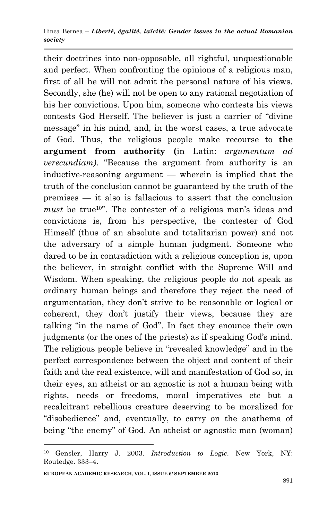their doctrines into non-opposable, all rightful, unquestionable and perfect. When confronting the opinions of a religious man, first of all he will not admit the personal nature of his views. Secondly, she (he) will not be open to any rational negotiation of his her convictions. Upon him, someone who contests his views contests God Herself. The believer is just a carrier of "divine" message" in his mind, and, in the worst cases, a true advocate of God. Thus, the religious people make recourse to **the argument from authority (**in Latin: *argumentum ad verecundiam*). "Because the argument from authority is an inductive-reasoning argument — wherein is implied that the truth of the conclusion cannot be guaranteed by the truth of the premises — it also is fallacious to assert that the conclusion *must* be true<sup>10</sup>. The contester of a religious man's ideas and convictions is, from his perspective, the contester of God Himself (thus of an absolute and totalitarian power) and not the adversary of a simple human judgment. Someone who dared to be in contradiction with a religious conception is, upon the believer, in straight conflict with the Supreme Will and Wisdom. When speaking, the religious people do not speak as ordinary human beings and therefore they reject the need of argumentation, they don't strive to be reasonable or logical or coherent, they don't justify their views, because they are talking "in the name of God". In fact they enounce their own judgments (or the ones of the priests) as if speaking God's mind. The religious people believe in "revealed knowledge" and in the perfect correspondence between the object and content of their faith and the real existence, will and manifestation of God so, in their eyes, an atheist or an agnostic is not a human being with rights, needs or freedoms, moral imperatives etc but a recalcitrant rebellious creature deserving to be moralized for "disobedience" and, eventually, to carry on the anathema of being "the enemy" of God. An atheist or agnostic man (woman)

1

<sup>10</sup> Gensler, Harry J. 2003. *Introduction to Logic*. New York, NY: Routedge. 333–4.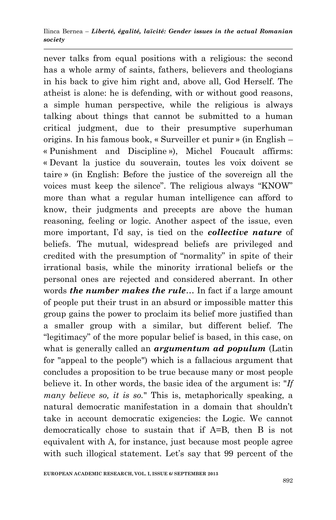never talks from equal positions with a religious: the second has a whole army of saints, fathers, believers and theologians in his back to give him right and, above all, God Herself. The atheist is alone: he is defending, with or without good reasons, a simple human perspective, while the religious is always talking about things that cannot be submitted to a human critical judgment, due to their presumptive superhuman origins. In his famous book, « Surveiller et punir » (in English – « Punishment and Discipline »), Michel Foucault affirms: « Devant la justice du souverain, toutes les voix doivent se taire » (in English: Before the justice of the sovereign all the voices must keep the silence". The religious always "KNOW" more than what a regular human intelligence can afford to know, their judgments and precepts are above the human reasoning, feeling or logic. Another aspect of the issue, even more important, I'd say, is tied on the *collective nature* of beliefs. The mutual, widespread beliefs are privileged and credited with the presumption of "normality" in spite of their irrational basis, while the minority irrational beliefs or the personal ones are rejected and considered aberrant. In other words *the number makes the rule*… In fact if a large amount of people put their trust in an absurd or impossible matter this group gains the power to proclaim its belief more justified than a smaller group with a similar, but different belief. The "legitimacy" of the more popular belief is based, in this case, on what is generally called an *argumentum ad populum* (Latin for "appeal to the people") which is a fallacious argument that concludes a proposition to be true because many or most people believe it. In other words, the basic idea of the argument is: "*If many believe so, it is so.*" This is, metaphorically speaking, a natural democratic manifestation in a domain that shouldn't take in account democratic exigencies: the Logic. We cannot democratically chose to sustain that if A=B, then B is not equivalent with A, for instance, just because most people agree with such illogical statement. Let's say that 99 percent of the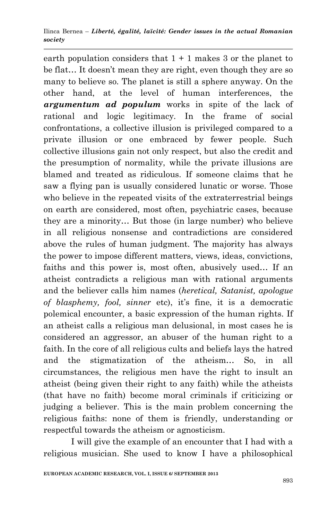earth population considers that  $1 + 1$  makes 3 or the planet to be flat… It doesn't mean they are right, even though they are so many to believe so. The planet is still a sphere anyway. On the other hand, at the level of human interferences, the *argumentum ad populum* works in spite of the lack of rational and logic legitimacy. In the frame of social confrontations, a collective illusion is privileged compared to a private illusion or one embraced by fewer people. Such collective illusions gain not only respect, but also the credit and the presumption of normality, while the private illusions are blamed and treated as ridiculous. If someone claims that he saw a flying pan is usually considered lunatic or worse. Those who believe in the repeated visits of the extraterrestrial beings on earth are considered, most often, psychiatric cases, because they are a minority… But those (in large number) who believe in all religious nonsense and contradictions are considered above the rules of human judgment. The majority has always the power to impose different matters, views, ideas, convictions, faiths and this power is, most often, abusively used… If an atheist contradicts a religious man with rational arguments and the believer calls him names (*heretical, Satanist, apologue of blasphemy, fool, sinner* etc), it's fine, it is a democratic polemical encounter, a basic expression of the human rights. If an atheist calls a religious man delusional, in most cases he is considered an aggressor, an abuser of the human right to a faith. In the core of all religious cults and beliefs lays the hatred and the stigmatization of the atheism… So, in all circumstances, the religious men have the right to insult an atheist (being given their right to any faith) while the atheists (that have no faith) become moral criminals if criticizing or judging a believer. This is the main problem concerning the religious faiths: none of them is friendly, understanding or respectful towards the atheism or agnosticism.

I will give the example of an encounter that I had with a religious musician. She used to know I have a philosophical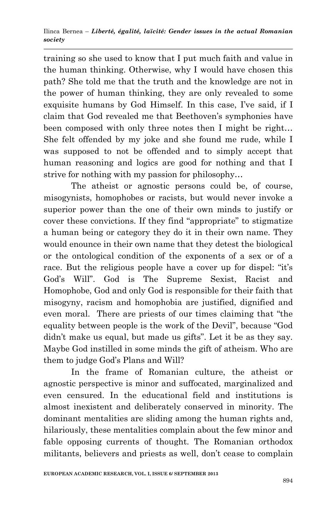training so she used to know that I put much faith and value in the human thinking. Otherwise, why I would have chosen this path? She told me that the truth and the knowledge are not in the power of human thinking, they are only revealed to some exquisite humans by God Himself. In this case, I've said, if I claim that God revealed me that Beethoven's symphonies have been composed with only three notes then I might be right… She felt offended by my joke and she found me rude, while I was supposed to not be offended and to simply accept that human reasoning and logics are good for nothing and that I strive for nothing with my passion for philosophy…

The atheist or agnostic persons could be, of course, misogynists, homophobes or racists, but would never invoke a superior power than the one of their own minds to justify or cover these convictions. If they find "appropriate" to stigmatize a human being or category they do it in their own name. They would enounce in their own name that they detest the biological or the ontological condition of the exponents of a sex or of a race. But the religious people have a cover up for dispel: "it's God's Will". God is The Supreme Sexist, Racist and Homophobe, God and only God is responsible for their faith that misogyny, racism and homophobia are justified, dignified and even moral. There are priests of our times claiming that "the equality between people is the work of the Devil", because "God didn't make us equal, but made us gifts". Let it be as they say. Maybe God instilled in some minds the gift of atheism. Who are them to judge God's Plans and Will?

In the frame of Romanian culture, the atheist or agnostic perspective is minor and suffocated, marginalized and even censured. In the educational field and institutions is almost inexistent and deliberately conserved in minority. The dominant mentalities are sliding among the human rights and, hilariously, these mentalities complain about the few minor and fable opposing currents of thought. The Romanian orthodox militants, believers and priests as well, don't cease to complain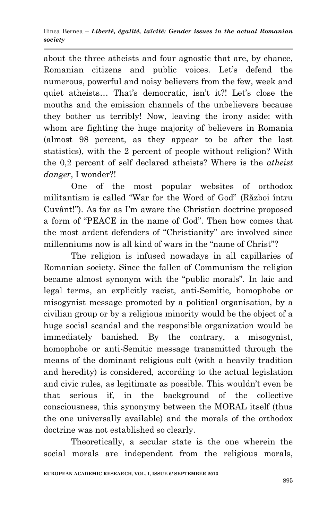about the three atheists and four agnostic that are, by chance, Romanian citizens and public voices. Let's defend the numerous, powerful and noisy believers from the few, week and quiet atheists… That's democratic, isn't it?! Let's close the mouths and the emission channels of the unbelievers because they bother us terribly! Now, leaving the irony aside: with whom are fighting the huge majority of believers in Romania (almost 98 percent, as they appear to be after the last statistics), with the 2 percent of people without religion? With the 0,2 percent of self declared atheists? Where is the *atheist danger*, I wonder?!

One of the most popular websites of orthodox militantism is called "War for the Word of God" (Război întru Cuvânt!‖). As far as I'm aware the Christian doctrine proposed a form of "PEACE in the name of God". Then how comes that the most ardent defenders of "Christianity" are involved since millenniums now is all kind of wars in the "name of Christ"?

The religion is infused nowadays in all capillaries of Romanian society. Since the fallen of Communism the religion became almost synonym with the "public morals". In laic and legal terms, an explicitly racist, anti-Semitic, homophobe or misogynist message promoted by a political organisation, by a civilian group or by a religious minority would be the object of a huge social scandal and the responsible organization would be immediately banished. By the contrary, a misogynist, homophobe or anti-Semitic message transmitted through the means of the dominant religious cult (with a heavily tradition and heredity) is considered, according to the actual legislation and civic rules, as legitimate as possible. This wouldn't even be that serious if, in the background of the collective consciousness, this synonymy between the MORAL itself (thus the one universally available) and the morals of the orthodox doctrine was not established so clearly.

Theoretically, a secular state is the one wherein the social morals are independent from the religious morals,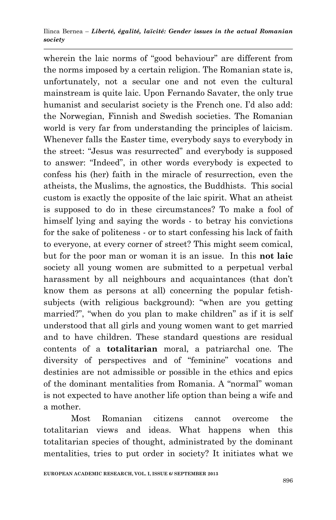wherein the laic norms of "good behaviour" are different from the norms imposed by a certain religion. The Romanian state is, unfortunately, not a secular one and not even the cultural mainstream is quite laic. Upon Fernando Savater, the only true humanist and secularist society is the French one. I'd also add: the Norwegian, Finnish and Swedish societies. The Romanian world is very far from understanding the principles of laicism. Whenever falls the Easter time, everybody says to everybody in the street: "Jesus was resurrected" and everybody is supposed to answer: "Indeed", in other words everybody is expected to confess his (her) faith in the miracle of resurrection, even the atheists, the Muslims, the agnostics, the Buddhists. This social custom is exactly the opposite of the laic spirit. What an atheist is supposed to do in these circumstances? To make a fool of himself lying and saying the words - to betray his convictions for the sake of politeness - or to start confessing his lack of faith to everyone, at every corner of street? This might seem comical, but for the poor man or woman it is an issue. In this **not laic** society all young women are submitted to a perpetual verbal harassment by all neighbours and acquaintances (that don't know them as persons at all) concerning the popular fetishsubjects (with religious background): "when are you getting married?", "when do you plan to make children" as if it is self understood that all girls and young women want to get married and to have children. These standard questions are residual contents of a **totalitarian** moral, a patriarchal one. The diversity of perspectives and of "feminine" vocations and destinies are not admissible or possible in the ethics and epics of the dominant mentalities from Romania. A "normal" woman is not expected to have another life option than being a wife and a mother.

Most Romanian citizens cannot overcome the totalitarian views and ideas. What happens when this totalitarian species of thought, administrated by the dominant mentalities, tries to put order in society? It initiates what we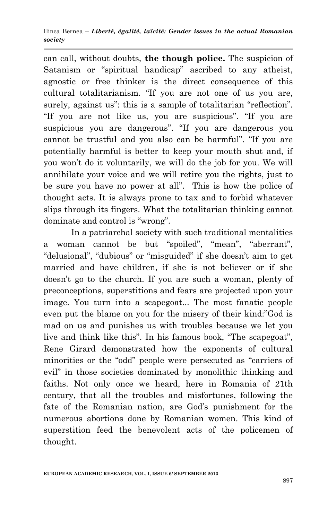can call, without doubts, **the though police.** The suspicion of Satanism or "spiritual handicap" ascribed to any atheist, agnostic or free thinker is the direct consequence of this cultural totalitarianism. "If you are not one of us you are, surely, against us": this is a sample of totalitarian "reflection". "If you are not like us, you are suspicious". "If you are suspicious you are dangerous". "If you are dangerous you cannot be trustful and you also can be harmful". "If you are potentially harmful is better to keep your mouth shut and, if you won't do it voluntarily, we will do the job for you. We will annihilate your voice and we will retire you the rights, just to be sure you have no power at all". This is how the police of thought acts. It is always prone to tax and to forbid whatever slips through its fingers. What the totalitarian thinking cannot dominate and control is "wrong".

In a patriarchal society with such traditional mentalities a woman cannot be but "spoiled", "mean", "aberrant", "delusional", "dubious" or "misguided" if she doesn't aim to get married and have children, if she is not believer or if she doesn't go to the church. If you are such a woman, plenty of preconceptions, superstitions and fears are projected upon your image. You turn into a scapegoat... The most fanatic people even put the blame on you for the misery of their kind:"God is mad on us and punishes us with troubles because we let you live and think like this". In his famous book, "The scapegoat", Rene Girard demonstrated how the exponents of cultural minorities or the "odd" people were persecuted as "carriers of evil" in those societies dominated by monolithic thinking and faiths. Not only once we heard, here in Romania of 21th century, that all the troubles and misfortunes, following the fate of the Romanian nation, are God's punishment for the numerous abortions done by Romanian women. This kind of superstition feed the benevolent acts of the policemen of thought.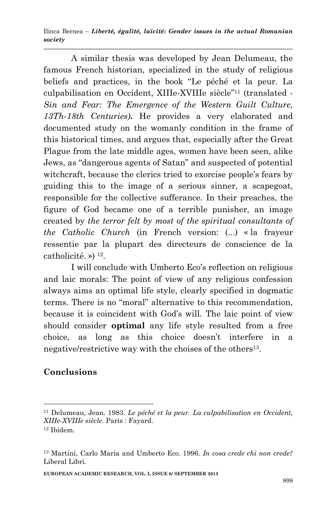A similar thesis was developed by Jean Delumeau, the famous French historian, specialized in the study of religious beliefs and practices, in the book "Le péché et la peur. La culpabilisation en Occident, XIIIe-XVIIIe siècle"<sup>11</sup> (translated -*Sin and Fear: The Emergence of the Western Guilt Culture, 13Th-18th Centuries).* He provides a very elaborated and documented study on the womanly condition in the frame of this historical times, and argues that, especially after the Great Plague from the late middle ages, women have been seen, alike Jews, as "dangerous agents of Satan" and suspected of potential witchcraft, because the clerics tried to exorcise people's fears by guiding this to the image of a serious sinner, a scapegoat, responsible for the collective sufferance. In their preaches, the figure of God became one of a terrible punisher, an image created by *the terror felt by most of the spiritual consultants of the Catholic Church* (in French version: (...) « la frayeur ressentie par la plupart des directeurs de conscience de la catholicité. »)<sup>12</sup>.

I will conclude with Umberto Eco's reflection on religious and laic morals: The point of view of any religious confession always aims an optimal life style, clearly specified in dogmatic terms. There is no "moral" alternative to this recommendation, because it is coincident with God's will. The laic point of view should consider **optimal** any life style resulted from a free choice, as long as this choice doesn't interfere in a negative/restrictive way with the choises of the others<sup>13</sup>.

# **Conclusions**

1

<sup>11</sup> Delumeau, Jean. 1983. *Le péché et la peur. La culpabilisation en Occident, XIIIe-XVIIIe siècle.* Paris : [Fayard.](http://www.laprocure.com/editeurs/fayard-0-71022.html) <sup>12</sup> Ibidem.

<sup>13</sup> Martini, Carlo Maria and Umberto Eco. 1996. *In cosa crede chi non crede?* Liberal Libri.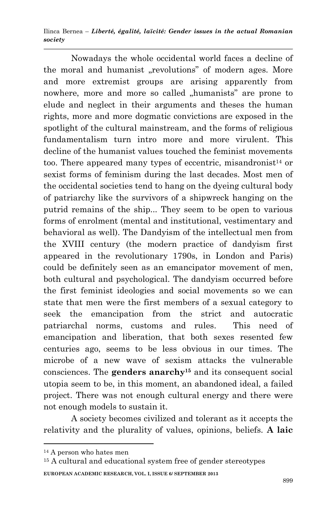Nowadays the whole occidental world faces a decline of the moral and humanist "revolutions" of modern ages. More and more extremist groups are arising apparently from nowhere, more and more so called "humanists" are prone to elude and neglect in their arguments and theses the human rights, more and more dogmatic convictions are exposed in the spotlight of the cultural mainstream, and the forms of religious fundamentalism turn intro more and more virulent. This decline of the humanist values touched the feminist movements too. There appeared many types of eccentric, misandronist<sup>14</sup> or sexist forms of feminism during the last decades. Most men of the occidental societies tend to hang on the dyeing cultural body of patriarchy like the survivors of a shipwreck hanging on the putrid remains of the ship... They seem to be open to various forms of enrolment (mental and institutional, vestimentary and behavioral as well). The Dandyism of the intellectual men from the XVIII century (the modern practice of dandyism first appeared in the revolutionary 1790s, in London and Paris) could be definitely seen as an emancipator movement of men, both cultural and psychological. The dandyism occurred before the first feminist ideologies and social movements so we can state that men were the first members of a sexual category to seek the emancipation from the strict and autocratic patriarchal norms, customs and rules. This need of emancipation and liberation, that both sexes resented few centuries ago, seems to be less obvious in our times. The microbe of a new wave of sexism attacks the vulnerable consciences. The **genders anarchy<sup>15</sup>** and its consequent social utopia seem to be, in this moment, an abandoned ideal, a failed project. There was not enough cultural energy and there were not enough models to sustain it.

A society becomes civilized and tolerant as it accepts the relativity and the plurality of values, opinions, beliefs. **A laic** 

**.** 

<sup>14</sup> A person who hates men

**EUROPEAN ACADEMIC RESEARCH, VOL. I, ISSUE 6/ SEPTEMBER 2013** <sup>15</sup> A cultural and educational system free of gender stereotypes